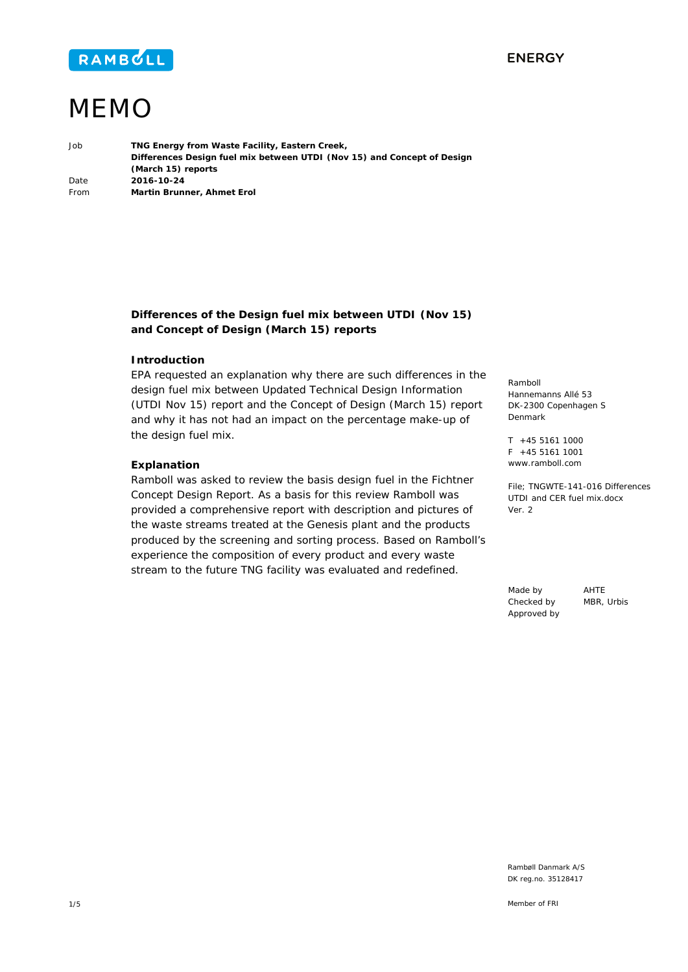

## **ENERGY**

# MEMO

Job **TNG Energy from Waste Facility, Eastern Creek, Differences Design fuel mix between UTDI (Nov 15) and Concept of Design (March 15) reports**  Date **2016-10-24**  From **Martin Brunner, Ahmet Erol** 

> **Differences of the Design fuel mix between UTDI (Nov 15) and Concept of Design (March 15) reports**

#### **Introduction**

EPA requested an explanation why there are such differences in the design fuel mix between Updated Technical Design Information (UTDI Nov 15) report and the Concept of Design (March 15) report and why it has not had an impact on the percentage make-up of the design fuel mix.

#### **Explanation**

Ramboll was asked to review the basis design fuel in the Fichtner Concept Design Report. As a basis for this review Ramboll was provided a comprehensive report with description and pictures of the waste streams treated at the Genesis plant and the products produced by the screening and sorting process. Based on Ramboll's experience the composition of every product and every waste stream to the future TNG facility was evaluated and redefined.

Ramboll Hannemanns Allé 53 DK-2300 Copenhagen S Denmark

T +45 5161 1000  $F + 45551611001$ www.ramboll.com

File; TNGWTE-141-016 Differences UTDI and CER fuel mix.docx Ver. 2

Made by AHTE Checked by MBR, Urbis Approved by

Rambøll Danmark A/S DK reg.no. 35128417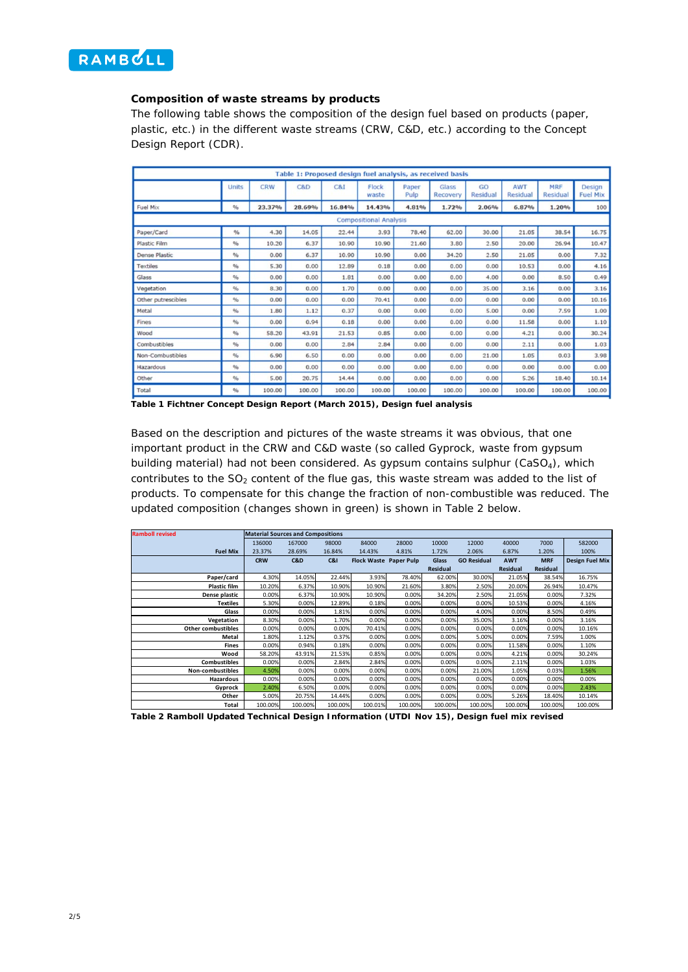

#### **Composition of waste streams by products**

The following table shows the composition of the design fuel based on products (paper, plastic, etc.) in the different waste streams (CRW, C&D, etc.) according to the Concept Design Report (CDR).

|                      |               |            |        | Table 1: Proposed design fuel analysis, as received basis |                               |               |                          |                |                 |                        |                           |
|----------------------|---------------|------------|--------|-----------------------------------------------------------|-------------------------------|---------------|--------------------------|----------------|-----------------|------------------------|---------------------------|
|                      | Units         | <b>CRW</b> | C&D    | C8I                                                       | Flock<br>waste                | Paper<br>Pulp | <b>Glass</b><br>Recovery | GO<br>Residual | AWT<br>Residual | <b>MRF</b><br>Residual | Design<br><b>Fuel Mix</b> |
| Fuel Mix             | $\frac{9}{6}$ | 23.37%     | 28.69% | 16.84%                                                    | 14.43%                        | 4.81%         | 1.72%                    | 2.06%          | 6.87%           | 1.20%                  | 100                       |
|                      |               |            |        |                                                           | <b>Compositional Analysis</b> |               |                          |                |                 |                        |                           |
| Paper/Card           | $\frac{9}{6}$ | 4.30       | 14.05  | 22.44                                                     | 3.93                          | 78.40         | 62.00                    | 30.00          | 21.05           | 38.54                  | 16.75                     |
| Plastic Film         | %             | 10.20      | 6.37   | 10.90                                                     | 10.90                         | 21.60         | 3.80                     | 2.50           | 20.00           | 26.94                  | 10.47                     |
| <b>Dense Plastic</b> | %             | 0.00       | 6.37   | 10.90                                                     | 10.90                         | 0.00          | 34.20                    | 2.50           | 21.05           | 0.00                   | 7.32                      |
| Textiles             | %             | 5.30       | 0.00   | 12.89                                                     | 0.18                          | 0.00          | 0.00                     | 0.00           | 10.53           | 0.00                   | 4.16                      |
| Glass                | %             | 0.00       | 0.00   | 1.81                                                      | 0.00                          | 0.00          | 0.00                     | 4.00           | 0.00            | 8.50                   | 0.49                      |
| Vegetation           | %             | 8.30       | 0.00   | 1.70                                                      | 0.00                          | 0.00          | 0.00                     | 35.00          | 3.16            | 0.00                   | 3.16                      |
| Other putrescibles   | %             | 0.00       | 0.00   | 0.00                                                      | 70.41                         | 0.00          | 0.00                     | 0.00           | 0.00            | 0.00                   | 10.16                     |
| Metal                | $\frac{a}{b}$ | 1.80       | 1.12   | 0.37                                                      | 0.00                          | 0.00          | 0.00                     | 5.00           | 0.00            | 7.59                   | 1.00                      |
| Fines                | %             | 0.00       | 0.94   | 0.18                                                      | 0.00                          | 0.00          | 0.00                     | 0.00           | 11.58           | 0.00                   | 1.10                      |
| Wood                 | %             | 58.20      | 43.91  | 21.53                                                     | 0.85                          | 0.00          | 0.00                     | 0.00           | 4.21            | 0.00                   | 30.24                     |
| Combustibles         | $\frac{a}{b}$ | 0.00       | 0.00   | 2.84                                                      | 2.84                          | 0.00          | 0.00                     | 0.00           | 2.11            | 0.00                   | 1.03                      |
| Non-Combustibles     | $\frac{a}{b}$ | 6.90       | 6.50   | 0.00                                                      | 0.00                          | 0.00          | 0.00                     | 21.00          | 1.05            | 0.03                   | 3.98                      |
| Hazardous            | %             | 0.00       | 0.00   | 0.00                                                      | 0.00                          | 0.00          | 0.00                     | 0.00           | 0.00            | 0.00                   | 0.00                      |
| Other                | %             | 5.00       | 20.75  | 14.44                                                     | 0.00                          | 0.00          | 0.00                     | 0.00           | 5.26            | 18.40                  | 10.14                     |
| Total                | $\frac{1}{2}$ | 100.00     | 100.00 | 100.00                                                    | 100.00                        | 100.00        | 100.00                   | 100.00         | 100.00          | 100.00                 | 100.00                    |

**Table 1 Fichtner Concept Design Report (March 2015), Design fuel analysis** 

Based on the description and pictures of the waste streams it was obvious, that one important product in the CRW and C&D waste (so called Gyprock, waste from gypsum building material) had not been considered. As gypsum contains sulphur (CaSO<sub>4</sub>), which contributes to the  $SO<sub>2</sub>$  content of the flue gas, this waste stream was added to the list of products. To compensate for this change the fraction of non-combustible was reduced. The updated composition (changes shown in green) is shown in Table 2 below.

| <b>Ramboll revised</b>    | <b>Material Sources and Compositions</b> |         |         |                        |         |          |                    |            |            |                        |
|---------------------------|------------------------------------------|---------|---------|------------------------|---------|----------|--------------------|------------|------------|------------------------|
|                           | 136000                                   | 167000  | 98000   | 84000                  | 28000   | 10000    | 12000              | 40000      | 7000       | 582000                 |
| <b>Fuel Mix</b>           | 23.37%                                   | 28.69%  | 16.84%  | 14.43%                 | 4.81%   | 1.72%    | 2.06%              | 6.87%      | 1.20%      | 100%                   |
|                           | <b>CRW</b>                               | C&D     | C&I     | Flock Waste Paper Pulp |         | Glass    | <b>GO Residual</b> | <b>AWT</b> | <b>MRF</b> | <b>Design Fuel Mix</b> |
|                           |                                          |         |         |                        |         | Residual |                    | Residual   | Residual   |                        |
| Paper/card                | 4.30%                                    | 14.05%  | 22.44%  | 3.93%                  | 78.40%  | 62.00%   | 30.00%             | 21.05%     | 38.54%     | 16.75%                 |
| <b>Plastic film</b>       | 10.20%                                   | 6.37%   | 10.90%  | 10.90%                 | 21.60%  | 3.80%    | 2.50%              | 20.00%     | 26.94%     | 10.47%                 |
| Dense plastic             | 0.00%                                    | 6.37%   | 10.90%  | 10.90%                 | 0.00%   | 34.20%   | 2.50%              | 21.05%     | 0.00%      | 7.32%                  |
| <b>Textiles</b>           | 5.30%                                    | 0.00%   | 12.89%  | 0.18%                  | 0.00%   | 0.00%    | 0.00%              | 10.53%     | 0.00%      | 4.16%                  |
| Glass                     | 0.00%                                    | 0.00%   | 1.81%   | 0.00%                  | 0.00%   | 0.00%    | 4.00%              | 0.00%      | 8.50%      | 0.49%                  |
| Vegetation                | 8.30%                                    | 0.00%   | 1.70%   | 0.00%                  | 0.00%   | 0.00%    | 35.00%             | 3.16%      | 0.00%      | 3.16%                  |
| <b>Other combustibles</b> | 0.00%                                    | 0.00%   | 0.00%   | 70.41%                 | 0.00%   | 0.00%    | 0.00%              | 0.00%      | 0.00%      | 10.16%                 |
| Metal                     | 1.80%                                    | 1.12%   | 0.37%   | 0.00%                  | 0.00%   | 0.00%    | 5.00%              | 0.00%      | 7.59%      | 1.00%                  |
| <b>Fines</b>              | 0.00%                                    | 0.94%   | 0.18%   | 0.00%                  | 0.00%   | 0.00%    | 0.00%              | 11.58%     | 0.00%      | 1.10%                  |
| Wood                      | 58.20%                                   | 43.91%  | 21.53%  | 0.85%                  | 0.00%   | 0.00%    | 0.00%              | 4.21%      | 0.00%      | 30.24%                 |
| <b>Combustibles</b>       | 0.00%                                    | 0.00%   | 2.84%   | 2.84%                  | 0.00%   | 0.00%    | 0.00%              | 2.11%      | 0.00%      | 1.03%                  |
| Non-combustibles          | 4.50%                                    | 0.00%   | 0.00%   | 0.00%                  | 0.00%   | 0.00%    | 21.00%             | 1.05%      | 0.03%      | 1.56%                  |
| Hazardous                 | 0.00%                                    | 0.00%   | 0.00%   | 0.00%                  | 0.00%   | 0.00%    | 0.00%              | 0.00%      | 0.00%      | 0.00%                  |
| Gyprock                   | 2.40%                                    | 6.50%   | 0.00%   | 0.00%                  | 0.00%   | 0.00%    | 0.00%              | 0.00%      | 0.00%      | 2.43%                  |
| Other                     | 5.00%                                    | 20.75%  | 14.44%  | 0.00%                  | 0.00%   | 0.00%    | 0.00%              | 5.26%      | 18.40%     | 10.14%                 |
| Total                     | 100.00%                                  | 100.00% | 100.00% | 100.01%                | 100.00% | 100.00%  | 100.00%            | 100.00%    | 100.00%    | 100.00%                |

**Table 2 Ramboll Updated Technical Design Information (UTDI Nov 15), Design fuel mix revised**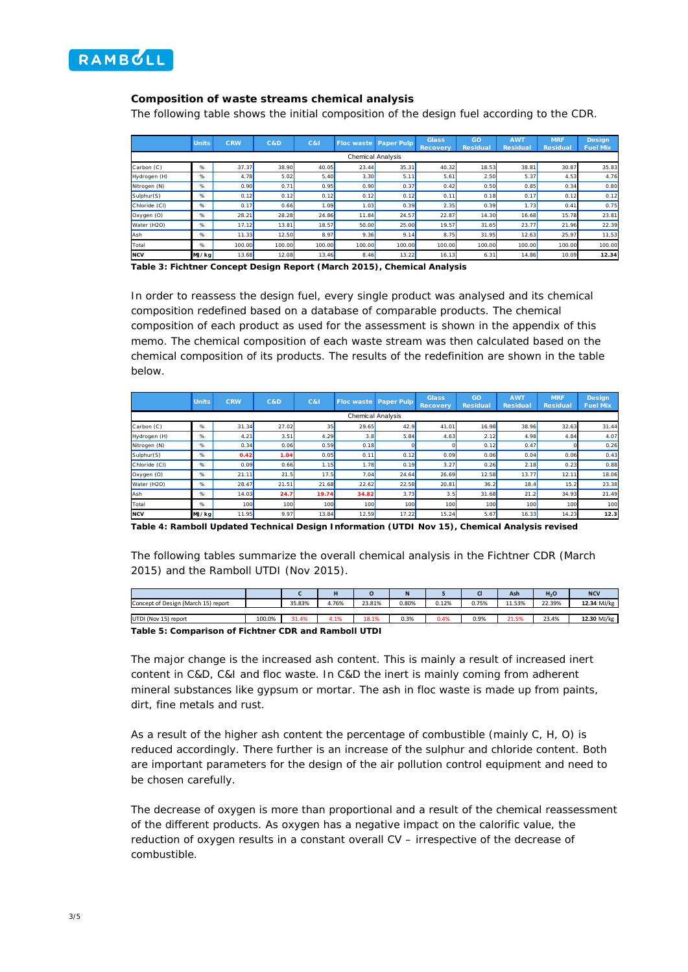

### **Composition of waste streams chemical analysis**

The following table shows the initial composition of the design fuel according to the CDR.

|               | <b>Units</b> | <b>CRW</b> | C&D    | C&1    |        | <b>Floc waste Paper Pulp</b> | <b>Glass</b><br><b>Recovery</b> | GO<br><b>Residual</b> | <b>AWT</b><br><b>Residual</b> | <b>MRF</b><br><b>Residual</b> | <b>Design</b><br><b>Fuel Mix</b> |
|---------------|--------------|------------|--------|--------|--------|------------------------------|---------------------------------|-----------------------|-------------------------------|-------------------------------|----------------------------------|
|               |              |            |        |        |        | Chemical Analysis            |                                 |                       |                               |                               |                                  |
| Carbon (C)    | $\%$         | 37.37      | 38.90  | 40.05  | 23.44  | 35.31                        | 40.32                           | 18.53                 | 38.81                         | 30.87                         | 35.83                            |
| Hydrogen (H)  | %            | 4.78       | 5.02   | 5.40   | 3.30   | 5.11                         | 5.61                            | 2.50                  | 5.37                          | 4.53                          | 4.76                             |
| Nitrogen (N)  | %            | 0.90       | 0.71   | 0.95   | 0.90   | 0.37                         | 0.42                            | 0.50                  | 0.85                          | 0.34                          | 0.80                             |
| Sulphur(S)    | %            | 0.12       | 0.12   | 0.12   | 0.12   | 0.12                         | 0.11                            | 0.18                  | 0.17                          | 0.12                          | 0.12                             |
| Chloride (CI) | %            | 0.17       | 0.66   | 1.09   | 1.03   | 0.39                         | 2.35                            | 0.39                  | 1.73                          | 0.41                          | 0.75                             |
| Oxygen (O)    | %            | 28.21      | 28.28  | 24.86  | 11.84  | 24.57                        | 22.87                           | 14.30                 | 16.68                         | 15.78                         | 23.81                            |
| Water (H2O)   | %            | 17.12      | 13.81  | 18.57  | 50.00  | 25.00                        | 19.57                           | 31.65                 | 23.77                         | 21.96                         | 22.39                            |
| Ash           | %            | 11.33      | 12.50  | 8.97   | 9.36   | 9.14                         | 8.75                            | 31.95                 | 12.63                         | 25.97                         | 11.53                            |
| Total         | %            | 100.00     | 100.00 | 100.00 | 100.00 | 100.00                       | 100.00                          | 100.00                | 100.00                        | 100.00                        | 100.00                           |
| <b>NCV</b>    | MJ/kg        | 13.68      | 12.08  | 13.46  | 8.46   | 13.22                        | 16.13                           | 6.31                  | 14.86                         | 10.09                         | 12.34                            |

**Table 3: Fichtner Concept Design Report (March 2015), Chemical Analysis** 

In order to reassess the design fuel, every single product was analysed and its chemical composition redefined based on a database of comparable products. The chemical composition of each product as used for the assessment is shown in the appendix of this memo. The chemical composition of each waste stream was then calculated based on the chemical composition of its products. The results of the redefinition are shown in the table below.

|               | <b>Units</b> | <b>CRW</b> | C&D   | C&I   | <b>Floc waste Paper Pulp</b> |       | <b>Glass</b><br><b>Recovery</b> | GO<br><b>Residual</b> | <b>AWT</b><br><b>Residual</b> | <b>MRF</b><br>Residual | <b>Design</b><br><b>Fuel Mix</b> |
|---------------|--------------|------------|-------|-------|------------------------------|-------|---------------------------------|-----------------------|-------------------------------|------------------------|----------------------------------|
|               |              |            |       |       | Chemical Analysis            |       |                                 |                       |                               |                        |                                  |
| Carbon (C)    | %            | 31.34      | 27.02 | 35    | 29.65                        | 42.9  | 41.01                           | 16.98                 | 38.96                         | 32.63                  | 31.44                            |
| Hydrogen (H)  | %            | 4.21       | 3.51  | 4.29  | 3.8                          | 5.84  | 4.63                            | 2.12                  | 4.98                          | 4.84                   | 4.07                             |
| Nitrogen (N)  | %            | 0.34       | 0.06  | 0.59  | 0.18                         |       |                                 | 0.12                  | 0.47                          |                        | 0.26                             |
| Sulphur(S)    | %            | 0.42       | 1.04  | 0.05  | 0.11                         | 0.12  | 0.09                            | 0.06                  | 0.04                          | 0.06                   | 0.43                             |
| Chloride (CI) | %            | 0.09       | 0.66  | 1.15  | 1.78                         | 0.19  | 3.27                            | 0.26                  | 2.18                          | 0.23                   | 0.88                             |
| Oxygen (O)    | %            | 21.11      | 21.5  | 17.5  | 7.04                         | 24.64 | 26.69                           | 12.58                 | 13.77                         | 12.11                  | 18.06                            |
| Water (H2O)   | %            | 28.47      | 21.51 | 21.68 | 22.62                        | 22.58 | 20.81                           | 36.2                  | 18.4                          | 15.2                   | 23.38                            |
| Ash           | %            | 14.03      | 24.7  | 19.74 | 34.82                        | 3.73  | 3.5                             | 31.68                 | 21.2                          | 34.93                  | 21.49                            |
| Total         | %            | 100        | 100   | 100   | 100                          | 100   | 100                             | 100                   | 100                           | 100                    | 100                              |
| <b>NCV</b>    | MJ/kg        | 11.95      | 9.97  | 13.84 | 12.59                        | 17.22 | 15.24                           | 5.67                  | 16.33                         | 14.23                  | 12.3                             |

**Table 4: Ramboll Updated Technical Design Information (UTDI Nov 15), Chemical Analysis revised** 

The following tables summarize the overall chemical analysis in the Fichtner CDR (March 2015) and the Ramboll UTDI (Nov 2015).

|                                                       |        |        |       |        | N     |       |       | Ash    | H <sub>2</sub> O | <b>NCV</b>  |
|-------------------------------------------------------|--------|--------|-------|--------|-------|-------|-------|--------|------------------|-------------|
| Concept of Design (March 15) report                   |        | 35.83% | 4.76% | 23.81% | 0.80% | 0.12% | 0.75% | 11.53% | 22.39%           | 12.34 MJ/kg |
|                                                       |        |        |       |        |       |       |       |        |                  |             |
| UTDI (Nov 15) report                                  | 100.0% | 31.4%  | 4.1%  | 18.1%  | 0.3%  | 0.4%  | 0.9%  | 21.5%  | 23.4%            | 12.30 MJ/kg |
| Table E: Comparison of Fichtnor CDD and Damboll LITDL |        |        |       |        |       |       |       |        |                  |             |

**<sup>5:</sup> Comparison of Fichtner CDR and Ramboll UTDI** 

The major change is the increased ash content. This is mainly a result of increased inert content in C&D, C&I and floc waste. In C&D the inert is mainly coming from adherent mineral substances like gypsum or mortar. The ash in floc waste is made up from paints, dirt, fine metals and rust.

As a result of the higher ash content the percentage of combustible (mainly C, H, O) is reduced accordingly. There further is an increase of the sulphur and chloride content. Both are important parameters for the design of the air pollution control equipment and need to be chosen carefully.

The decrease of oxygen is more than proportional and a result of the chemical reassessment of the different products. As oxygen has a negative impact on the calorific value, the reduction of oxygen results in a constant overall CV – irrespective of the decrease of combustible.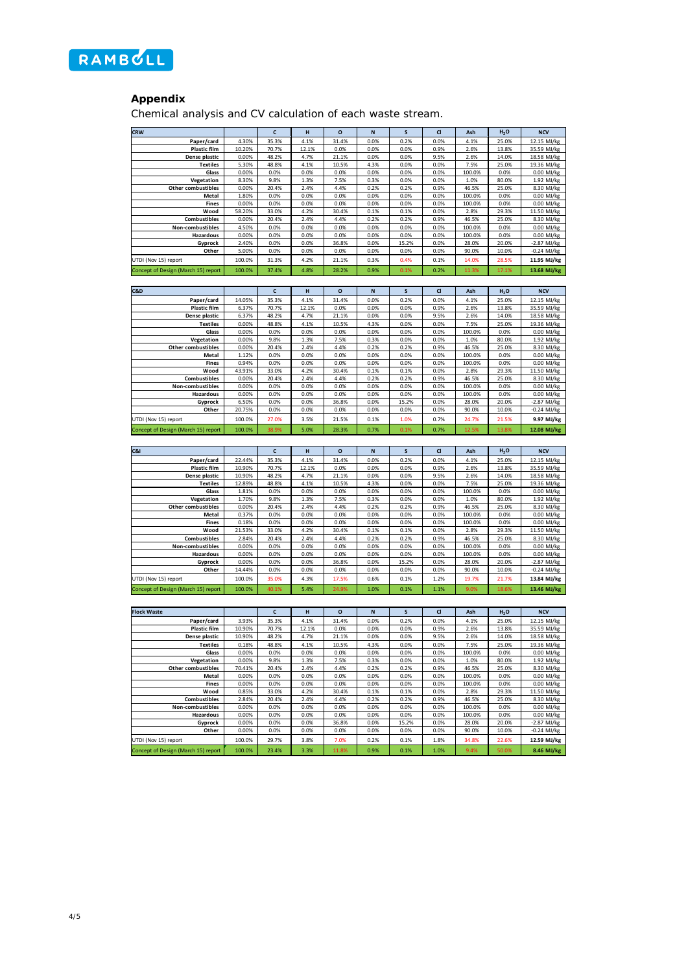

## **Appendix**

Chemical analysis and CV calculation of each waste stream.

| <b>CRW</b>                          |                | c            | н            | $\circ$       | N            | S             | CI           | Ash             | H <sub>2</sub> O | <b>NCV</b>                |
|-------------------------------------|----------------|--------------|--------------|---------------|--------------|---------------|--------------|-----------------|------------------|---------------------------|
| Paper/card                          | 4.30%          | 35.3%        | 4.1%         | 31.4%         | 0.0%         | 0.2%          | 0.0%         | 4.1%            | 25.0%            | 12.15 MJ/kg               |
| <b>Plastic film</b>                 | 10.20%         | 70.7%        | 12.1%        | 0.0%          | 0.0%         | 0.0%          | 0.9%         | 2.6%            | 13.8%            | 35.59 MJ/kg               |
| Dense plastic                       | 0.00%          | 48.2%        | 4.7%         | 21.1%         | 0.0%         | 0.0%          | 9.5%         | 2.6%            | 14.0%            | 18.58 MJ/kg               |
| <b>Textiles</b>                     | 5.30%          | 48.8%        | 4.1%         | 10.5%         | 4.3%         | 0.0%          | 0.0%         | 7.5%            | 25.0%            | 19.36 MJ/kg               |
| Glass                               | 0.00%          | 0.0%         | 0.0%         | 0.0%          | 0.0%         | 0.0%          | 0.0%         | 100.0%          | 0.0%             | 0.00 MJ/kg                |
| Vegetation                          | 8.30%          | 9.8%         | 1.3%         | 7.5%          | 0.3%         | 0.0%          | 0.0%         | 1.0%            | 80.0%            | 1.92 MJ/kg                |
| Other combustibles                  | 0.00%          | 20.4%        | 2.4%         | 4.4%          | 0.2%         | 0.2%          | 0.9%         | 46.5%           | 25.0%            | 8.30 MJ/kg                |
|                                     |                | 0.0%         | 0.0%         | 0.0%          | 0.0%         | 0.0%          | 0.0%         | 100.0%          |                  |                           |
| Metal                               | 1.80%          |              |              |               |              |               |              |                 | 0.0%             | 0.00 MJ/kg                |
| Fines                               | 0.00%          | 0.0%         | 0.0%         | 0.0%          | 0.0%         | 0.0%          | 0.0%         | 100.0%          | 0.0%             | 0.00 MJ/kg                |
| Wood                                | 58.20%         | 33.0%        | 4.2%         | 30.4%         | 0.1%         | 0.1%          | 0.0%         | 2.8%            | 29.3%            | 11.50 MJ/kg               |
| Combustibles                        | 0.00%          | 20.4%        | 2.4%         | 4.4%          | 0.2%         | 0.2%          | 0.9%         | 46.5%           | 25.0%            | 8.30 MJ/kg                |
| Non-combustibles                    | 4.50%          | 0.0%         | 0.0%         | 0.0%          | 0.0%         | 0.0%          | 0.0%         | 100.0%          | 0.0%             | 0.00 MJ/kg                |
| Hazardous                           | 0.00%          | 0.0%         | 0.0%         | 0.0%          | 0.0%         | 0.0%          | 0.0%         | 100.0%          | 0.0%             | 0.00 MJ/kg                |
| Gyprock                             | 2.40%          | 0.0%         | 0.0%         | 36.8%         | 0.0%         | 15.2%         | 0.0%         | 28.0%           | 20.0%            | -2.87 MJ/kg               |
| Other                               | 5.00%          | 0.0%         | 0.0%         | 0.0%          | 0.0%         | 0.0%          | 0.0%         | 90.0%           | 10.0%            | $-0.24$ MJ/kg             |
| UTDI (Nov 15) report                | 100.0%         | 31.3%        | 4.2%         | 21.1%         | 0.3%         | 0.4%          | 0.1%         | 14.0%           | 28.5%            | 11.95 MJ/kg               |
| Concept of Design (March 15) report | 100.0%         | 37.4%        | 4.8%         | 28.2%         | 0.9%         | 0.1%          | 0.2%         | 11.3%           | 17.1%            | 13.68 MJ/kg               |
|                                     |                |              |              |               |              |               |              |                 |                  |                           |
|                                     |                |              |              |               |              |               |              |                 |                  |                           |
| C&D                                 |                | $\mathsf{c}$ | H            | $\mathbf{o}$  | $\mathsf N$  | s             | C1           | Ash             | H <sub>2</sub> O | <b>NCV</b>                |
| Paper/card                          | 14.05%         | 35.3%        | 4.1%         | 31.4%         | 0.0%         | 0.2%          | 0.0%         | 4.1%            | 25.0%            | 12.15 MJ/kg               |
| <b>Plastic film</b>                 | 6.37%          | 70.7%        | 12.1%        | 0.0%          | 0.0%         | 0.0%          | 0.9%         | 2.6%            | 13.8%            | 35.59 MJ/kg               |
| Dense plastic                       | 6.37%          | 48.2%        | 4.7%         | 21.1%         | 0.0%         | 0.0%          | 9.5%         | 2.6%            | 14.0%            | 18.58 MJ/kg               |
| <b>Textiles</b>                     | 0.00%          | 48.8%        | 4.1%         | 10.5%         | 4.3%         | 0.0%          | 0.0%         | 7.5%            | 25.0%            |                           |
|                                     |                |              |              |               |              |               |              |                 |                  | 19.36 MJ/kg               |
| Glass                               | 0.00%          | 0.0%         | 0.0%         | 0.0%          | 0.0%         | 0.0%          | 0.0%         | 100.0%          | 0.0%             | 0.00 MJ/kg                |
| Vegetation                          | 0.00%          | 9.8%         | 1.3%         | 7.5%          | 0.3%         | 0.0%          | 0.0%         | 1.0%            | 80.0%            | 1.92 MJ/kg                |
| <b>Other combustibles</b>           | 0.00%          | 20.4%        | 2.4%         | 4.4%          | 0.2%         | 0.2%          | 0.9%         | 46.5%           | 25.0%            | 8.30 MJ/kg                |
| Metal                               | 1.12%          | 0.0%         | 0.0%         | 0.0%          | 0.0%         | 0.0%          | 0.0%         | 100.0%          | 0.0%             | $0.00$ MJ/kg              |
| <b>Fines</b>                        | 0.94%          | 0.0%         | 0.0%         | 0.0%          | 0.0%         | 0.0%          | 0.0%         | 100.0%          | 0.0%             | 0.00 MJ/kg                |
| Wood                                | 43.91%         | 33.0%        | 4.2%         | 30.4%         | 0.1%         | 0.1%          | 0.0%         | 2.8%            | 29.3%            | 11.50 MJ/kg               |
| <b>Combustibles</b>                 | 0.00%          | 20.4%        | 2.4%         | 4.4%          | 0.2%         | 0.2%          | 0.9%         | 46.5%           | 25.0%            | 8.30 MJ/kg                |
| Non-combustibles                    | 0.00%          | 0.0%         | 0.0%         | 0.0%          | 0.0%         | 0.0%          | 0.0%         | 100.0%          | 0.0%             | 0.00 MJ/kg                |
| <b>Hazardous</b>                    | 0.00%          | 0.0%         | 0.0%         | 0.0%          | 0.0%         | 0.0%          | 0.0%         | 100.0%          | 0.0%             | 0.00 MJ/kg                |
| Gyprock                             | 6.50%          | 0.0%         | 0.0%         | 36.8%         | 0.0%         | 15.2%         | 0.0%         | 28.0%           | 20.0%            | -2.87 MJ/kg               |
| Other                               | 20.75%         | 0.0%         | 0.0%         | 0.0%          | 0.0%         | 0.0%          | 0.0%         | 90.0%           | 10.0%            | $-0.24$ MJ/kg             |
| UTDI (Nov 15) report                | 100.0%         | 27.0%        | 3.5%         | 21.5%         | 0.1%         | 1.0%          | 0.7%         | 24.7%           | 21.5%            | 9.97 MJ/kg                |
|                                     |                |              |              |               |              |               |              |                 |                  |                           |
| Concept of Design (March 15) report | 100.0%         | 38.9%        | 5.0%         | 28.3%         | 0.7%         | 0.1%          | 0.7%         | 12.5%           | 13.8%            | 12.08 MJ/kg               |
|                                     |                |              |              |               |              |               |              |                 |                  |                           |
| C&I                                 |                |              |              |               |              |               |              |                 |                  |                           |
|                                     |                |              |              |               |              |               |              |                 |                  |                           |
|                                     |                | c            | н            | $\circ$       | N            | S             | <b>CI</b>    | Ash             | H <sub>2</sub> O | <b>NCV</b>                |
| Paper/card                          | 22.44%         | 35.3%        | 4.1%         | 31.4%         | 0.0%         | 0.2%          | 0.0%         | 4.1%            | 25.0%            | 12.15 MJ/kg               |
| <b>Plastic film</b>                 | 10.90%         | 70.7%        | 12.1%        | 0.0%          | 0.0%         | 0.0%          | 0.9%         | 2.6%            | 13.8%            | 35.59 MJ/kg               |
| Dense plastic                       | 10.90%         | 48.2%        | 4.7%         | 21.1%         | 0.0%         | 0.0%          | 9.5%         | 2.6%            | 14.0%            | 18.58 MJ/kg               |
| <b>Textiles</b>                     | 12.89%         | 48.8%        | 4.1%         | 10.5%         | 4.3%         | 0.0%          | 0.0%         | 7.5%            | 25.0%            | 19.36 MJ/kg               |
| Glass                               | 1.81%          | 0.0%         | 0.0%         | 0.0%          | 0.0%         | 0.0%          | 0.0%         | 100.0%          | 0.0%             | 0.00 MJ/kg                |
| Vegetation                          | 1.70%          | 9.8%         | 1.3%         | 7.5%          | 0.3%         | 0.0%          | 0.0%         | 1.0%            | 80.0%            | 1.92 MJ/kg                |
| Other combustibles                  | 0.00%          | 20.4%        | 2.4%         | 4.4%          | 0.2%         | 0.2%          | 0.9%         | 46.5%           | 25.0%            | 8.30 MJ/kg                |
| Metal                               | 0.37%          | 0.0%         | 0.0%         | 0.0%          | 0.0%         | 0.0%          | 0.0%         | 100.0%          | 0.0%             | 0.00 MJ/kg                |
| <b>Fines</b>                        | 0.18%          | 0.0%         | 0.0%         | 0.0%          | 0.0%         | 0.0%          | 0.0%         | 100.0%          | 0.0%             |                           |
| Wood                                | 21.53%         | 33.0%        | 4.2%         | 30.4%         | 0.1%         | 0.1%          | 0.0%         | 2.8%            | 29.3%            | 0.00 MJ/kg<br>11.50 MJ/kg |
|                                     |                | 20.4%        | 2.4%         | 4.4%          |              |               | 0.9%         |                 |                  |                           |
| Combustibles                        | 2.84%          |              |              |               | 0.2%         | 0.2%          |              | 46.5%           | 25.0%            | 8.30 MJ/kg                |
| Non-combustibles                    | 0.00%<br>0.00% | 0.0%<br>0.0% | 0.0%<br>0.0% | 0.0%          | 0.0%<br>0.0% | 0.0%          | 0.0%<br>0.0% | 100.0%          | 0.0%             | 0.00 MJ/kg                |
| Hazardous                           | 0.00%          | 0.0%         | 0.0%         | 0.0%<br>36.8% |              | 0.0%<br>15.2% | 0.0%         | 100.0%<br>28.0% | 0.0%             | 0.00 MJ/kg                |
| Gyprock                             | 14.44%         |              |              | 0.0%          | 0.0%<br>0.0% |               |              | 90.0%           | 20.0%            | -2.87 MJ/kg               |
| Other                               |                | 0.0%         | 0.0%         |               |              | 0.0%          | 0.0%         |                 | 10.0%            | $-0.24$ MJ/kg             |
| UTDI (Nov 15) report                | 100.0%         | 35.0%        | 4.3%         | 17.5%         | 0.6%         | 0.1%          | 1.2%         | 19.7%           | 21.7%            | 13.84 MJ/kg               |
| Concept of Design (March 15) report | 100.0%         | 40.1%        | 5.4%         | 24.9%         | 1.0%         | 0.1%          | 1.1%         | 9.0%            | 18.6%            | 13.46 MJ/kg               |
|                                     |                |              |              |               |              |               |              |                 |                  |                           |
|                                     |                |              |              |               |              |               |              |                 |                  |                           |
| <b>Flock Waste</b>                  |                | c            | н            | $\circ$       | ${\sf N}$    | S             | <b>CI</b>    | Ash             | H <sub>2</sub> O | <b>NCV</b>                |
| Paper/card                          | 3.93%          | 35.3%        | 4.1%         | 31.4%         | 0.0%         | 0.2%          | 0.0%         | 4.1%            | 25.0%            | 12.15 MJ/kg               |
| <b>Plastic film</b>                 | 10.90%         | 70.7%        | 12.1%        | 0.0%          | 0.0%         | 0.0%          | 0.9%         | 2.6%            | 13.8%            | 35.59 MJ/kg               |
| Dense plastic                       | 10.90%         | 48.2%        | 4.7%         | 21.1%         | 0.0%         | 0.0%          | 9.5%         | 2.6%            | 14.0%            | 18.58 MJ/kg               |
|                                     |                |              |              |               |              |               |              |                 |                  |                           |
| <b>Textiles</b>                     | 0.18%          | 48.8%        | 4.1%         | 10.5%         | 4.3%         | 0.0%          | 0.0%         | 7.5%            | 25.0%            | 19.36 MJ/kg               |
| Glass                               | 0.00%          | 0.0%         | 0.0%         | 0.0%          | 0.0%         | 0.0%          | 0.0%         | 100.0%          | 0.0%             | 0.00 MJ/kg                |
| Vegetation                          | 0.00%          | 9.8%         | 1.3%         | 7.5%          | 0.3%         | 0.0%          | 0.0%         | 1.0%            | 80.0%            | 1.92 MJ/kg                |
| Other combustibles                  | 70.41%         | 20.4%        | 2.4%         | 4.4%          | 0.2%         | 0.2%          | 0.9%         | 46.5%           | 25.0%            | 8.30 MJ/kg                |
| Metal                               | 0.00%          | 0.0%         | 0.0%         | 0.0%          | 0.0%         | 0.0%          | 0.0%         | 100.0%          | 0.0%             | 0.00 MJ/kg                |
| Fines                               | 0.00%          | 0.0%         | 0.0%         | 0.0%          | 0.0%         | 0.0%          | 0.0%         | 100.0%          | 0.0%             | 0.00 MJ/kg                |
| Wood                                | 0.85%          | 33.0%        | 4.2%         | 30.4%         | 0.1%         | 0.1%          | 0.0%         | 2.8%            | 29.3%            | 11.50 MJ/kg               |
| Combustibles                        | 2.84%          | 20.4%        | 2.4%         | 4.4%          | 0.2%         | 0.2%          | 0.9%         | 46.5%           | 25.0%            | 8.30 MJ/kg                |
| Non-combustibles                    | 0.00%          | 0.0%         | 0.0%         | 0.0%          | 0.0%         | 0.0%          | 0.0%         | 100.0%          | 0.0%             | 0.00 MJ/kg                |
| Hazardous                           | 0.00%          | 0.0%         | 0.0%         | 0.0%          | 0.0%         | 0.0%          | 0.0%         | 100.0%          | 0.0%             | 0.00 MJ/kg                |
| Gyprock                             | 0.00%          | 0.0%         | 0.0%         | 36.8%         | 0.0%         | 15.2%         | 0.0%         | 28.0%           | 20.0%            | -2.87 MJ/kg               |
| Other                               | 0.00%          | 0.0%         | 0.0%         | 0.0%          | 0.0%         | 0.0%          | 0.0%         | 90.0%           | 10.0%            | -0.24 MJ/kg               |
| UTDI (Nov 15) report                | 100.0%         | 29.7%        | 3.8%         | 7.0%          | 0.2%         | 0.1%          | 1.8%         | 34.8%           | 22.6%            | 12.59 MJ/kg               |
| Concept of Design (March 15) report | 100.0%         | 23.4%        | 3.3%         | 11.8%         | 0.9%         | 0.1%          | 1.0%         | 9.4%            | 50.0%            | 8.46 MJ/kg                |